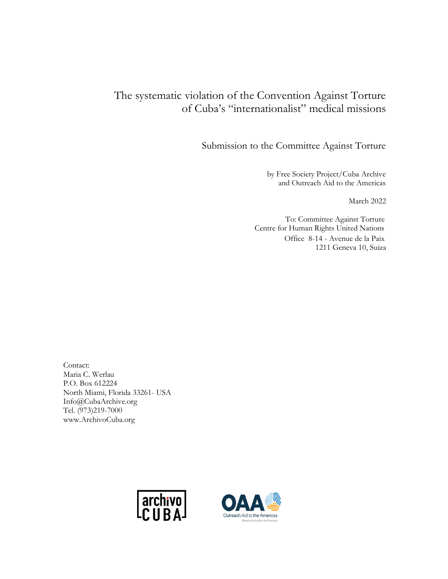# The systematic violation of the Convention Against Torture of Cuba's "internationalist" medical missions

Submission to the Committee Against Torture

by Free Society Project/Cuba Archive and Outreach Aid to the Americas

March 2022

To: Committee Against Torture Centre for Human Rights United Nations Office 8-14 - Avenue de la Paix 1211 Geneva 10, Suiza

Contact: Maria C. Werlau P.O. Box 612224 North Miami, Florida 33261- USA [Info@CubaArchive.org](mailto:Info@CubaArchive.org) Tel. (973)219-7000 www.ArchivoCuba.org



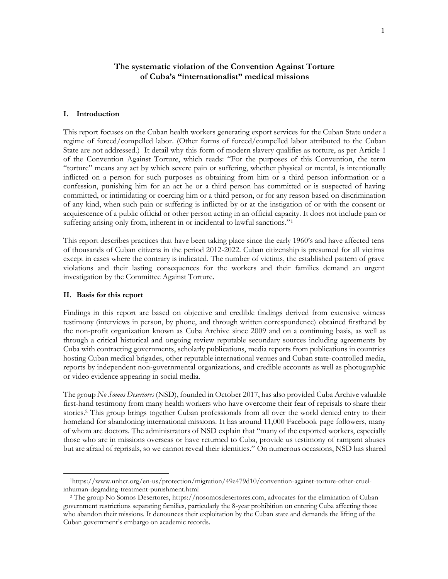# **The systematic violation of the Convention Against Torture of Cuba's "internationalist" medical missions**

#### **I. Introduction**

This report focuses on the Cuban health workers generating export services for the Cuban State under a regime of forced/compelled labor. (Other forms of forced/compelled labor attributed to the Cuban State are not addressed.) It detail why this form of modern slavery qualifies as torture, as per Article 1 of the Convention Against Torture, which reads: "For the purposes of this Convention, the term "torture" means any act by which severe pain or suffering, whether physical or mental, is intentionally inflicted on a person for such purposes as obtaining from him or a third person information or a confession, punishing him for an act he or a third person has committed or is suspected of having committed, or intimidating or coercing him or a third person, or for any reason based on discrimination of any kind, when such pain or suffering is inflicted by or at the instigation of or with the consent or acquiescence of a public official or other person acting in an official capacity. It does not include pain or suffering arising only from, inherent in or incidental to lawful sanctions."<sup>1</sup>

This report describes practices that have been taking place since the early 1960's and have affected tens of thousands of Cuban citizens in the period 2012-2022. Cuban citizenship is presumed for all victims except in cases where the contrary is indicated. The number of victims, the established pattern of grave violations and their lasting consequences for the workers and their families demand an urgent investigation by the Committee Against Torture.

#### **II. Basis for this report**

Findings in this report are based on objective and credible findings derived from extensive witness testimony (interviews in person, by phone, and through written correspondence) obtained firsthand by the non-profit organization known as Cuba Archive since 2009 and on a continuing basis, as well as through a critical historical and ongoing review reputable secondary sources including agreements by Cuba with contracting governments, scholarly publications, media reports from publications in countries hosting Cuban medical brigades, other reputable international venues and Cuban state-controlled media, reports by independent non-governmental organizations, and credible accounts as well as photographic or video evidence appearing in social media.

The group *No Somos Desertores* (NSD), founded in October 2017, has also provided Cuba Archive valuable first-hand testimony from many health workers who have overcome their fear of reprisals to share their stories. <sup>2</sup> This group brings together Cuban professionals from all over the world denied entry to their homeland for abandoning international missions. It has around 11,000 Facebook page followers, many of whom are doctors. The administrators of NSD explain that "many of the exported workers, especially those who are in missions overseas or have returned to Cuba, provide us testimony of rampant abuses but are afraid of reprisals, so we cannot reveal their identities." On numerous occasions, NSD has shared

<sup>1</sup>https://www.unhcr.org/en-us/protection/migration/49e479d10/convention-against-torture-other-cruelinhuman-degrading-treatment-punishment.html

<sup>2</sup> The group No Somos Desertores, [https://nosomosdesertores.com,](https://nosomosdesertores.com/) advocates for the elimination of Cuban government restrictions separating families, particularly the 8-year prohibition on entering Cuba affecting those who abandon their missions. It denounces their exploitation by the Cuban state and demands the lifting of the Cuban government's embargo on academic records.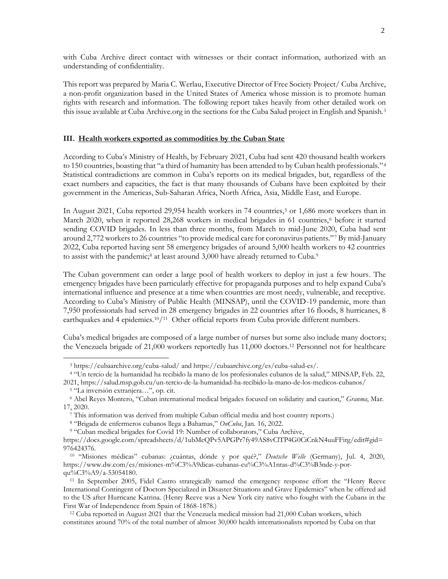with Cuba Archive direct contact with witnesses or their contact information, authorized with an understanding of confidentiality.

This report was prepared by Maria C. Werlau, Executive Director of Free Society Project/ Cuba Archive, a non-profit organization based in the United States of America whose mission is to promote human rights with research and information. The following report takes heavily from other detailed work on this issue available at Cuba Archive.org in the sections for the Cuba Salud project i[n English](https://cubaarchive.org/cuba-salud/) an[d Spanish.](https://cubaarchive.org/es/cuba-salud-es/) 3

#### **III. Health workers exported as commodities by the Cuban State**

According to Cuba's Ministry of Health, by February 2021, Cuba had sent 420 thousand health workers to 150 countries, boasting that "a third of humanity has been attended to by Cuban health professionals."<sup>4</sup> Statistical contradictions are common in Cuba's reports on its medical brigades, but, regardless of the exact numbers and capacities, the fact is that many thousands of Cubans have been exploited by their government in the Americas, Sub-Saharan Africa, North Africa, Asia, Middle East, and Europe.

In August 2021, Cuba reported 29,954 health workers in 74 countries,<sup>5</sup> or 1,686 more workers than in March 2020, when it reported 28,268 workers in medical brigades in 61 countries,<sup>6</sup> before it started sending COVID brigades. In less than three months, from March to mid-June 2020, Cuba had sent around 2,772 workers to 26 countries "to provide medical care for coronavirus patients." <sup>7</sup> By mid-January 2022, Cuba reported having sent 58 emergency brigades of around 5,000 health workers to 42 countries to assist with the pandemic;<sup>8</sup> at least around 3,000 have already returned to Cuba.<sup>9</sup>

The Cuban government can order a large pool of health workers to deploy in just a few hours. The emergency brigades have been particularly effective for propaganda purposes and to help expand Cuba's international influence and presence at a time when countries are most needy, vulnerable, and receptive. According to Cuba's Ministry of Public Health (MINSAP), until the COVID-19 pandemic, more than 7,950 professionals had served in 28 emergency brigades in 22 countries after 16 floods, 8 hurricanes, 8 earthquakes and 4 epidemics.<sup>10/11</sup> Other official reports from Cuba provide different numbers.

Cuba's medical brigades are composed of a large number of nurses but some also include many doctors; the Venezuela brigade of 21,000 workers reportedly has 11,000 doctors.<sup>12</sup> Personnel not for healthcare

<sup>3</sup> https://cubaarchive.org/cuba-salud/ and https://cubaarchive.org/es/cuba-salud-es/.

<sup>4</sup> "Un tercio de la humanidad ha recibido la mano de los profesionales cubanos de la salud," MINSAP, Feb. 22, 2021, https://salud.msp.gob.cu/un-tercio-de-la-humanidad-ha-recibido-la-mano-de-los-medicos-cubanos/

<sup>5</sup> "La inversión extranjera…", op. cit.

<sup>6</sup> Abel Reyes Montero, "Cuban international medical brigades focused on solidarity and caution," *Granma*, Mar. 17, 2020.

<sup>7</sup> This information was derived from multiple Cuban official media and host country reports.)

<sup>8</sup> "Brigada de enfermeros cubanos llega a Bahamas," *OnCuba*, Jan. 16, 2022.

<sup>9</sup> "Cuban medical brigades for Covid 19: Number of collaborators," Cuba Archive,

https://docs.google.com/spreadsheets/d/1ubMeQPv5APGPr7fy49AS8vClTP4G0CiCnkN4uuFFirg/edit#gid= 976424376.

<sup>10</sup> "Misiones médicas" cubanas: ¿cuántas, dónde y por qué?," *Deutsche Welle* (Germany), Jul. 4, 2020, [https://www.dw.com/es/misiones-m%C3%A9dicas-cubanas-cu%C3%A1ntas-d%C3%B3nde-y-por](https://www.dw.com/es/misiones-m%C3%A9dicas-cubanas-cu%C3%A1ntas-d%C3%B3nde-y-por-qu%C3%A9/a-53054180)[qu%C3%A9/a-53054180.](https://www.dw.com/es/misiones-m%C3%A9dicas-cubanas-cu%C3%A1ntas-d%C3%B3nde-y-por-qu%C3%A9/a-53054180)

<sup>11</sup> In September 2005, Fidel Castro strategically named the emergency response effort the "Henry Reeve International Contingent of Doctors Specialized in Disaster Situations and Grave Epidemics" when he offered aid to the US after Hurricane Katrina. (Henry Reeve was a New York city native who fought with the Cubans in the First War of Independence from Spain of 1868-1878.)

<sup>12</sup> Cuba reported in August 2021 that the Venezuela medical mission had 21,000 Cuban workers, which constitutes around 70% of the total number of almost 30,000 health internationalists reported by Cuba on that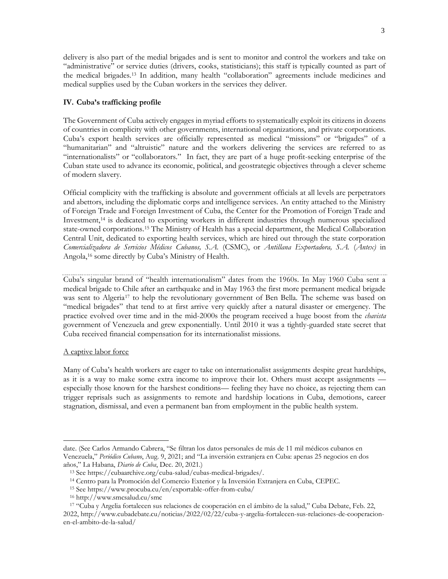delivery is also part of the medial brigades and is sent to monitor and control the workers and take on "administrative" or service duties (drivers, cooks, statisticians); this staff is typically counted as part of the medical brigades.<sup>13</sup> In addition, many health "collaboration" agreements include medicines and medical supplies used by the Cuban workers in the services they deliver.

## **IV. Cuba's trafficking profile**

The Government of Cuba actively engages in myriad efforts to systematically exploit its citizens in dozens of countries in complicity with other governments, international organizations, and private corporations. Cuba's export health services are officially represented as medical "missions" or "brigades" of a "humanitarian" and "altruistic" nature and the workers delivering the services are referred to as "internationalists" or "collaborators." In fact, they are part of a huge profit-seeking enterprise of the Cuban state used to advance its economic, political, and geostrategic objectives through a clever scheme of modern slavery.

Official complicity with the trafficking is absolute and government officials at all levels are perpetrators and abettors, including the diplomatic corps and intelligence services. An entity attached to the Ministry of Foreign Trade and Foreign Investment of Cuba, the Center for the Promotion of Foreign Trade and Investment,<sup>14</sup> is dedicated to exporting workers in different industries through numerous specialized state-owned corporations.<sup>15</sup> The Ministry of Health has a special department, the Medical Collaboration Central Unit, dedicated to exporting health services, which are hired out through the state corporation *Comercializadora de Servicios Médicos Cubanos, S.A.* (CSMC), or *Antillana Exportadora, S.A.* (*Antex)* in Angola, <sup>16</sup> some directly by Cuba's Ministry of Health.

Cuba's singular brand of "health internationalism" dates from the 1960s. In May 1960 Cuba sent a medical brigade to Chile after an earthquake and in May 1963 the first more permanent medical brigade was sent to Algeria<sup>17</sup> to help the revolutionary government of Ben Bella. The scheme was based on "medical brigades" that tend to at first arrive very quickly after a natural disaster or emergency. The practice evolved over time and in the mid-2000s the program received a huge boost from the *chavista* government of Venezuela and grew exponentially. Until 2010 it was a tightly-guarded state secret that Cuba received financial compensation for its internationalist missions.

## A captive labor force

Many of Cuba's health workers are eager to take on internationalist assignments despite great hardships, as it is a way to make some extra income to improve their lot. Others must accept assignments especially those known for the harshest conditions— feeling they have no choice, as rejecting them can trigger reprisals such as assignments to remote and hardship locations in Cuba, demotions, career stagnation, dismissal, and even a permanent ban from employment in the public health system.

date. (See Carlos Armando Cabrera, "Se filtran los datos personales de más de 11 mil médicos cubanos en Venezuela," *Periódico Cubano*, Aug. 9, 2021; and "La inversión extranjera en Cuba: apenas 25 negocios en dos años," La Habana, *Diario de Cuba*, Dec. 20, 2021.)

<sup>13</sup> See https://cubaarchive.org/cuba-salud/cubas-medical-brigades/.

<sup>14</sup> Centro para la Promoción del Comercio Exterior y la Inversión Extranjera en Cuba, CEPEC.

<sup>15</sup> See https://www.procuba.cu/en/exportable-offer-from-cuba/

<sup>16</sup> http://www.smcsalud.cu/smc

<sup>17</sup> "Cuba y Argelia fortalecen sus relaciones de cooperación en el ámbito de la salud," Cuba Debate, Feb. 22, 2022, http://www.cubadebate.cu/noticias/2022/02/22/cuba-y-argelia-fortalecen-sus-relaciones-de-cooperacionen-el-ambito-de-la-salud/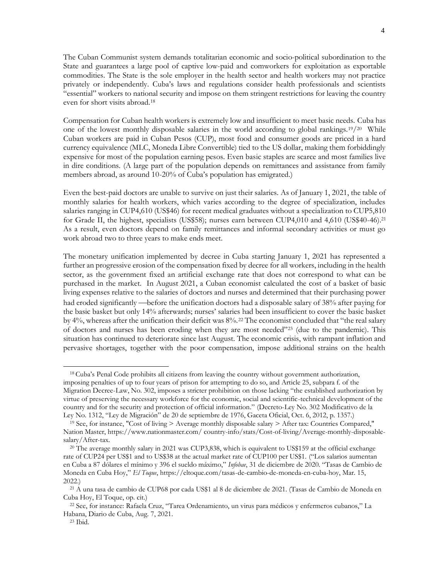The Cuban Communist system demands totalitarian economic and socio-political subordination to the State and guarantees a large pool of captive low-paid and comworkers for exploitation as exportable commodities. The State is the sole employer in the health sector and health workers may not practice privately or independently. Cuba's laws and regulations consider health professionals and scientists "essential" workers to national security and impose on them stringent restrictions for leaving the country even for short visits abroad.<sup>18</sup>

Compensation for Cuban health workers is extremely low and insufficient to meet basic needs. Cuba has one of the lowest monthly disposable salaries in the world according to global rankings.19/<sup>20</sup> While Cuban workers are paid in Cuban Pesos (CUP), most food and consumer goods are priced in a hard currency equivalence (MLC, Moneda Libre Convertible) tied to the US dollar, making them forbiddingly expensive for most of the population earning pesos. Even basic staples are scarce and most families live in dire conditions. (A large part of the population depends on remittances and assistance from family members abroad, as around 10-20% of Cuba's population has emigrated.)

Even the best-paid doctors are unable to survive on just their salaries. As of January 1, 2021, the table of monthly salaries for health workers, which varies according to the degree of specialization, includes salaries ranging in CUP4,610 (US\$46) for recent medical graduates without a specialization to CUP5,810 for Grade II, the highest, specialists (US\$58); nurses earn between CUP4,010 and 4,610 (US\$40-46). 21 As a result, even doctors depend on family remittances and informal secondary activities or must go work abroad two to three years to make ends meet.

The monetary unification implemented by decree in Cuba starting January 1, 2021 has represented a further an progressive erosion of the compensation fixed by decree for all workers, including in the health sector, as the government fixed an artificial exchange rate that does not correspond to what can be purchased in the market. In August 2021, a Cuban economist calculated the cost of a basket of basic living expenses relative to the salaries of doctors and nurses and determined that their purchasing power had eroded significantly —before the unification doctors had a disposable salary of 38% after paying for the basic basket but only 14% afterwards; nurses' salaries had been insufficient to cover the basic basket by 4%, whereas after the unification their deficit was 8%.<sup>22</sup> The economist concluded that "the real salary of doctors and nurses has been eroding when they are most needed"<sup>23</sup> (due to the pandemic). This situation has continued to deteriorate since last August. The economic crisis, with rampant inflation and pervasive shortages, together with the poor compensation, impose additional strains on the health

<sup>18</sup> Cuba's Penal Code prohibits all citizens from leaving the country without government authorization, imposing penalties of up to four years of prison for attempting to do so, and Article 25, subpara f. of the Migration Decree-Law, No. 302, imposes a stricter prohibition on those lacking "the established authorization by virtue of preserving the necessary workforce for the economic, social and scientific-technical development of the country and for the security and protection of official information." (Decreto-Ley No. 302 Modificativo de la Ley No. 1312, "Ley de Migración" de 20 de septiembre de 1976, Gaceta Oficial, Oct. 6, 2012, p. 1357.)

<sup>&</sup>lt;sup>19</sup> See, for instance, "Cost of living > Average monthly disposable salary > After tax: Countries Compared," Nation Master,<https://www.nationmaster.com/> country-info/stats/Cost-of-living/Average-monthly-disposablesalary/After-tax.

<sup>&</sup>lt;sup>20</sup> The average monthly salary in 2021 was CUP3,838, which is equivalent to US\$159 at the official exchange rate of CUP24 per US\$1 and to US\$38 at the actual market rate of CUP100 per US\$1. ("Los salarios aumentan en Cuba a 87 dólares el mínimo y 396 el sueldo máximo," *Infobae*, 31 de diciembre de 2020. "Tasas de Cambio de Moneda en Cuba Hoy," *El Toque*[, https://eltoque.com/tasas-de-cambio-de-moneda-en-cuba-hoy,](https://eltoque.com/tasas-de-cambio-de-moneda-en-cuba-hoy) Mar. 15, 2022.)

<sup>21</sup> A una tasa de cambio de CUP68 por cada US\$1 al 8 de diciembre de 2021. (Tasas de Cambio de Moneda en Cuba Hoy, El Toque, op. cit.)

<sup>22</sup> See, for instance: Rafaela Cruz, "Tarea Ordenamiento, un virus para médicos y enfermeros cubanos," La Habana, Diario de Cuba, Aug. 7, 2021.

<sup>23</sup> Ibid.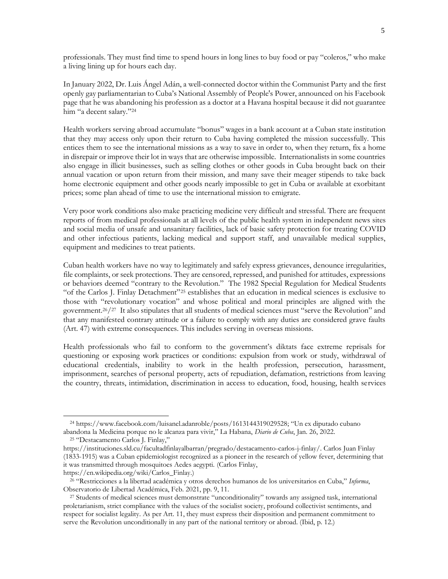professionals. They must find time to spend hours in long lines to buy food or pay "coleros," who make a living lining up for hours each day.

In January 2022, Dr. Luis Ángel Adán, a well-connected doctor within the Communist Party and the first openly gay parliamentarian to Cuba's National Assembly of People's Power, announced on his Facebook page that he was abandoning his profession as a doctor at a Havana hospital because it did not guarantee him "a decent salary."<sup>24</sup>

Health workers serving abroad accumulate "bonus" wages in a bank account at a Cuban state institution that they may access only upon their return to Cuba having completed the mission successfully. This entices them to see the international missions as a way to save in order to, when they return, fix a home in disrepair or improve their lot in ways that are otherwise impossible. Internationalists in some countries also engage in illicit businesses, such as selling clothes or other goods in Cuba brought back on their annual vacation or upon return from their mission, and many save their meager stipends to take back home electronic equipment and other goods nearly impossible to get in Cuba or available at exorbitant prices; some plan ahead of time to use the international mission to emigrate.

Very poor work conditions also make practicing medicine very difficult and stressful. There are frequent reports of from medical professionals at all levels of the public health system in independent news sites and social media of unsafe and unsanitary facilities, lack of basic safety protection for treating COVID and other infectious patients, lacking medical and support staff, and unavailable medical supplies, equipment and medicines to treat patients.

Cuban health workers have no way to legitimately and safely express grievances, denounce irregularities, file complaints, or seek protections. They are censored, repressed, and punished for attitudes, expressions or behaviors deemed "contrary to the Revolution." The 1982 Special Regulation for Medical Students "of the Carlos J. Finlay Detachment"<sup>25</sup> establishes that an education in medical sciences is exclusive to those with "revolutionary vocation" and whose political and moral principles are aligned with the government.26/27 It also stipulates that all students of medical sciences must "serve the Revolution" and that any manifested contrary attitude or a failure to comply with any duties are considered grave faults (Art. 47) with extreme consequences. This includes serving in overseas missions.

Health professionals who fail to conform to the government's diktats face extreme reprisals for questioning or exposing work practices or conditions: expulsion from work or study, withdrawal of educational credentials, inability to work in the health profession, persecution, harassment, imprisonment, searches of personal property, acts of repudiation, defamation, restrictions from leaving the country, threats, intimidation, discrimination in access to education, food, housing, health services

<sup>24</sup> <https://www.facebook.com/luisanel.adanroble/posts/1613144319029528>; "Un ex diputado cubano abandona la Medicina porque no le alcanza para vivir," La Habana, *Diario de Cuba*, Jan. 26, 2022.

<sup>25</sup> "Destacamento Carlos J. Finlay,"

[https://instituciones.sld.cu/facultadfinlayalbarran/pregrado/destacamento-carlos-j-finlay/.](https://instituciones.sld.cu/facultadfinlayalbarran/pregrado/destacamento-carlos-j-finlay/) Carlos Juan Finlay (1833-1915) was a Cuban epidemiologist recognized as a pioneer in the research of yellow fever, determining that it was transmitted through mosquitoes Aedes aegypti. (Carlos Finlay,

https://en.wikipedia.org/wiki/Carlos\_Finlay.)

<sup>26</sup> "Restricciones a la libertad académica y otros derechos humanos de los universitarios en Cuba," *Informa*, Observatorio de Libertad Académica, Feb. 2021, pp. 9, 11.

<sup>27</sup> Students of medical sciences must demonstrate "unconditionality" towards any assigned task, international proletarianism, strict compliance with the values of the socialist society, profound collectivist sentiments, and respect for socialist legality. As per Art. 11, they must express their disposition and permanent commitment to serve the Revolution unconditionally in any part of the national territory or abroad. (Ibid, p. 12.)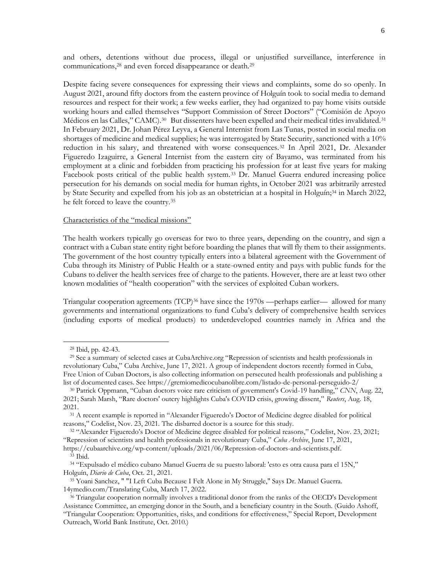and others, detentions without due process, illegal or unjustified surveillance, interference in communications,<sup>28</sup> and even forced disappearance or death.<sup>29</sup>

Despite facing severe consequences for expressing their views and complaints, some do so openly. In August 2021, around fifty doctors from the eastern province of Holguín took to social media to demand resources and respect for their work; a few weeks earlier, they had organized to pay home visits outside working hours and called themselves "Support Commission of Street Doctors" ("Comisión de Apoyo Médicos en las Calles," CAMC).<sup>30</sup> But dissenters have been expelled and their medical titles invalidated.<sup>31</sup> In February 2021, Dr. Johan Pérez Leyva, a General Internist from Las Tunas, posted in social media on shortages of medicine and medical supplies; he was interrogated by State Security, sanctioned with a 10% reduction in his salary, and threatened with worse consequences.<sup>32</sup> In April 2021, Dr. Alexander Figueredo Izaguirre, a General Internist from the eastern city of Bayamo, was terminated from his employment at a clinic and forbidden from practicing his profession for at least five years for making Facebook posts critical of the public health system.<sup>33</sup> Dr. Manuel Guerra endured increasing police persecution for his demands on social media for human rights, in October 2021 was arbitrarily arrested by State Security and expelled from his job as an obstetrician at a hospital in Holguín; <sup>34</sup> in March 2022, he felt forced to leave the country.<sup>35</sup>

#### Characteristics of the "medical missions"

The health workers typically go overseas for two to three years, depending on the country, and sign a contract with a Cuban state entity right before boarding the planes that will fly them to their assignments. The government of the host country typically enters into a bilateral agreement with the Government of Cuba through its Ministry of Public Health or a state-owned entity and pays with public funds for the Cubans to deliver the health services free of charge to the patients. However, there are at least two other known modalities of "health cooperation" with the services of exploited Cuban workers.

Triangular cooperation agreements (TCP)<sup>36</sup> have since the 1970s —perhaps earlier— allowed for many governments and international organizations to fund Cuba's delivery of comprehensive health services (including exports of medical products) to underdeveloped countries namely in Africa and the

<sup>28</sup> Ibid, pp. 42-43.

<sup>29</sup> See a summary of selected cases at CubaArchive.org "Repression of scientists and health professionals in revolutionary Cuba," Cuba Archive, June 17, 2021. A group of independent doctors recently formed in Cuba, Free Union of Cuban Doctors, is also collecting information on persecuted health professionals and publishing a list of documented cases. See https://gremiomedicocubanolibre.com/listado-de-personal-perseguido-2/

<sup>30</sup> Patrick Oppmann, "Cuban doctors voice rare criticism of government's Covid-19 handling," *CNN*, Aug. 22, 2021; Sarah Marsh, "Rare doctors' outcry highlights Cuba's COVID crisis, growing dissent," *Reuters*, Aug. 18, 2021.

<sup>&</sup>lt;sup>31</sup> A recent example is reported in "Alexander Figueredo's Doctor of Medicine degree disabled for political reasons," Codelist, Nov. 23, 2021. The disbarred doctor is a source for this study.

<sup>32</sup> "Alexander Figueredo's Doctor of Medicine degree disabled for political reasons," Codelist, Nov. 23, 2021; "Repression of scientists and health professionals in revolutionary Cuba," *Cuba Archive*, June 17, 2021,

https://cubaarchive.org/wp-content/uploads/2021/06/Repression-of-doctors-and-scientists.pdf. <sup>33</sup> Ibid.

<sup>34</sup> "Expulsado el médico cubano Manuel Guerra de su puesto laboral: 'esto es otra causa para el 15N," Holguín, *Diario de Cuba*, Oct. 21, 2021.

<sup>35</sup> Yoani Sanchez, " "I Left Cuba Because I Felt Alone in My Struggle," Says Dr. Manuel Guerra. 14ymedio.com/Translating Cuba, March 17, 2022.

<sup>36</sup> Triangular cooperation normally involves a traditional donor from the ranks of the OECD's Development Assistance Committee, an emerging donor in the South, and a beneficiary country in the South. (Guido Ashoff, "Triangular Cooperation: Opportunities, risks, and conditions for effectiveness," Special Report, Development Outreach, World Bank Institute, Oct. 2010.)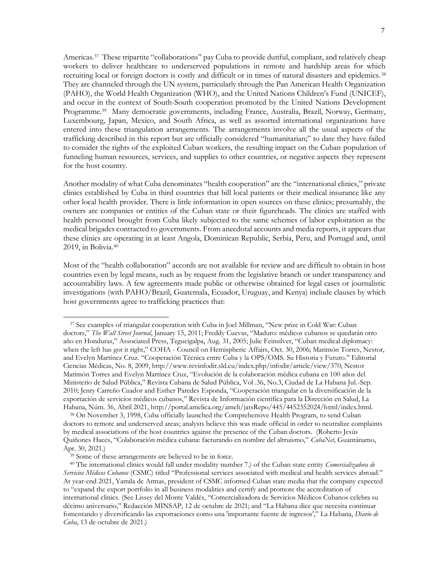Americas.<sup>37</sup> These tripartite "collaborations" pay Cuba to provide dutiful, compliant, and relatively cheap workers to deliver healthcare to underserved populations in remote and hardship areas for which recruiting local or foreign doctors is costly and difficult or in times of natural disasters and epidemics. <sup>38</sup> They are channeled through the UN system, particularly through the Pan American Health Organization (PAHO), the World Health Organization (WHO), and the United Nations Children's Fund (UNICEF), and occur in the context of South-South cooperation promoted by the United Nations Development Programme.<sup>39</sup> Many democratic governments, including France, Australia, Brazil, Norway, Germany, Luxembourg, Japan, Mexico, and South Africa, as well as assorted international organizations have entered into these triangulation arrangements. The arrangements involve all the usual aspects of the trafficking described in this report but are officially considered "humanitarian;" to date they have failed to consider the rights of the exploited Cuban workers, the resulting impact on the Cuban population of funneling human resources, services, and supplies to other countries, or negative aspects they represent for the host country.

Another modality of what Cuba denominates "health cooperation" are the "international clinics," private clinics established by Cuba in third countries that bill local patients or their medical insurance like any other local health provider. There is little information in open sources on these clinics; presumably, the owners are companies or entities of the Cuban state or their figureheads. The clinics are staffed with health personnel brought from Cuba likely subjected to the same schemes of labor exploitation as the medical brigades contracted to governments. From anecdotal accounts and media reports, it appears that these clinics are operating in at least Angola, Dominican Republic, Serbia, Peru, and Portugal and, until 2019, in Bolivia.<sup>40</sup>

Most of the "health collaboration" accords are not available for review and are difficult to obtain in host countries even by legal means, such as by request from the legislative branch or under transparency and accountability laws. A few agreements made public or otherwise obtained for legal cases or journalistic investigations (with PAHO/Brazil, Guatemala, Ecuador, Uruguay, and Kenya) include clauses by which host governments agree to trafficking practices that:

<sup>37</sup> See examples of triangular cooperation with Cuba in Joel Millman, "New prize in Cold War: Cuban doctors," *The Wall Street Journal*, January 15, 2011; Freddy Cuevas, "Maduro: médicos cubanos se quedarán otro año en Honduras," Associated Press, Tegucigalpa, Aug. 31, 2005; Julie Feinsilver, "Cuban medical diplomacy: when the left has got it right," COHA - Council on Hemispheric Affairs, Oct. 30, 2006; Marimón Torres, Nestor, and Evelyn Martínez Cruz. "Cooperación Técnica entre Cuba y la OPS/OMS. Su Historia y Futuro." Editorial Ciencias Médicas, No. 8, 2009, http://www.revinfodir.sld.cu/index.php/infodir/article/view/370; Nestor Marimón Torres and Evelyn Martínez Cruz, "Evolución de la colaboración médica cubana en 100 años del Ministerio de Salud Pública," Revista Cubana de Salud Pública, Vol .36, No.3, Ciudad de La Habana Jul.-Sep. 2010; Jenry Carreño Cuador and Esther Paredes Esponda, "Cooperación triangular en la diversificación de la exportación de servicios médicos cubanos," Revista de Información científica para la Dirección en Salud, La Habana, Núm. 36, Abril 2021, http://portal.amelica.org/ameli/jatsRepo/445/4452352024/html/index.html.

<sup>38</sup> On November 3, 1998, Cuba officially launched the Comprehensive Health Program, to send Cuban doctors to remote and underserved areas; analysts believe this was made official in order to neutralize complaints by medical associations of the host countries against the presence of the Cuban doctors. (Roberto Jesús Quiñones Haces, "Colaboración médica cubana: facturando en nombre del altruismo," *CubaNet*, Guantánamo, Apr. 30, 2021.)

<sup>39</sup> Some of these arrangements are believed to be in force.

<sup>40</sup> The international clinics would fall under modality number 7.) of the Cuban state entity *Comercializadora de Servicios Médicos Cubanos* (CSMC) titled "Professional services associated with medical and health services abroad." At year-end 2021, Yamila de Armas, president of CSMC informed Cuban state media that the company expected to "expand the export portfolio in all business modalities and certify and promote the accreditation of international clinics. (See Lissey del Monte Valdés, "Comercializadora de Servicios Médicos Cubanos celebra su décimo aniversario," Redacción MINSAP, 12 de octubre de 2021; and "La Habana dice que necesita continuar fomentando y diversificando las exportaciones como una 'importante fuente de ingresos'," La Habana, *Diario de Cuba*, 13 de octubre de 2021.)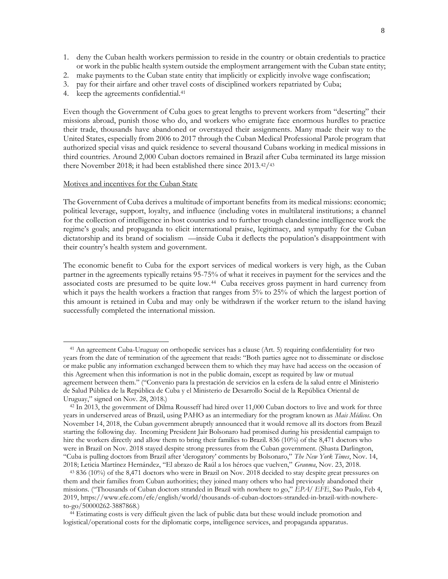- 1. deny the Cuban health workers permission to reside in the country or obtain credentials to practice or work in the public health system outside the employment arrangement with the Cuban state entity;
- 2. make payments to the Cuban state entity that implicitly or explicitly involve wage confiscation;
- 3. pay for their airfare and other travel costs of disciplined workers repatriated by Cuba;
- 4. keep the agreements confidential.<sup>41</sup>

Even though the Government of Cuba goes to great lengths to prevent workers from "deserting" their missions abroad, punish those who do, and workers who emigrate face enormous hurdles to practice their trade, thousands have abandoned or overstayed their assignments. Many made their way to the United States, especially from 2006 to 2017 through the Cuban Medical Professional Parole program that authorized special visas and quick residence to several thousand Cubans working in medical missions in third countries. Around 2,000 Cuban doctors remained in Brazil after Cuba terminated its large mission there November 2018; it had been established there since 2013.42/<sup>43</sup>

#### Motives and incentives for the Cuban State

The Government of Cuba derives a multitude of important benefits from its medical missions: economic; political leverage, support, loyalty, and influence (including votes in multilateral institutions; a channel for the collection of intelligence in host countries and to further trough clandestine intelligence work the regime's goals; and propaganda to elicit international praise, legitimacy, and sympathy for the Cuban dictatorship and its brand of socialism —inside Cuba it deflects the population's disappointment with their country's health system and government.

The economic benefit to Cuba for the export services of medical workers is very high, as the Cuban partner in the agreements typically retains 95-75% of what it receives in payment for the services and the associated costs are presumed to be quite low.<sup>44</sup> Cuba receives gross payment in hard currency from which it pays the health workers a fraction that ranges from 5% to 25% of which the largest portion of this amount is retained in Cuba and may only be withdrawn if the worker return to the island having successfully completed the international mission.

<sup>41</sup> An agreement Cuba-Uruguay on orthopedic services has a clause (Art. 5) requiring confidentiality for two years from the date of termination of the agreement that reads: "Both parties agree not to disseminate or disclose or make public any information exchanged between them to which they may have had access on the occasion of this Agreement when this information is not in the public domain, except as required by law or mutual agreement between them." ("Convenio para la prestación de servicios en la esfera de la salud entre el Ministerio de Salud Pública de la República de Cuba y el Ministerio de Desarrollo Social de la República Oriental de Uruguay," signed on Nov. 28, 2018.)

 $42$  In 2013, the government of Dilma Rousseff had hired over 11,000 Cuban doctors to live and work for three years in underserved areas of Brazil, using PAHO as an intermediary for the program known as *Mais Médicos*. On November 14, 2018, the Cuban government abruptly announced that it would remove all its doctors from Brazil starting the following day. Incoming President Jair Bolsonaro had promised during his presidential campaign to hire the workers directly and allow them to bring their families to Brazil. 836 (10%) of the 8,471 doctors who were in Brazil on Nov. 2018 stayed despite strong pressures from the Cuban government. (Shasta Darlington, "Cuba is pulling doctors from Brazil after 'derogatory' comments by Bolsonaro," *The New York Times*, Nov. 14, 2018; Leticia Martínez Hernández, "El abrazo de Raúl a los héroes que vuelven," *Granma*, Nov. 23, 2018.

<sup>43</sup> 836 (10%) of the 8,471 doctors who were in Brazil on Nov. 2018 decided to stay despite great pressures on them and their families from Cuban authorities; they joined many others who had previously abandoned their missions. ("Thousands of Cuban doctors stranded in Brazil with nowhere to go," *EPA/ EFE*, Sao Paulo, Feb 4, 2019, https://www.efe.com/efe/english/world/thousands-of-cuban-doctors-stranded-in-brazil-with-nowhereto-go/50000262-3887868.)

<sup>44</sup> Estimating costs is very difficult given the lack of public data but these would include promotion and logistical/operational costs for the diplomatic corps, intelligence services, and propaganda apparatus.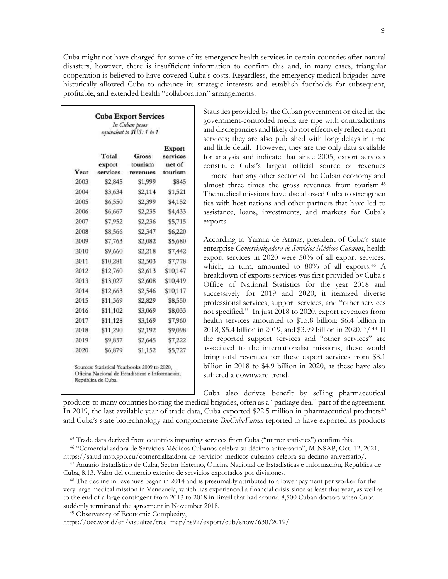Cuba might not have charged for some of its emergency health services in certain countries after natural disasters, however, there is insufficient information to confirm this and, in many cases, triangular cooperation is believed to have covered Cuba's costs. Regardless, the emergency medical brigades have historically allowed Cuba to advance its strategic interests and establish footholds for subsequent, profitable, and extended health "collaboration" arrangements.

| In Cuban pesos<br>equivalent to \$US: 1 to 1 |                             |                              |                                                |
|----------------------------------------------|-----------------------------|------------------------------|------------------------------------------------|
| Year                                         | Total<br>export<br>services | Gross<br>tourism<br>revenues | <b>Export</b><br>services<br>net of<br>tourism |
| 2003                                         | \$2,845                     | \$1,999                      | \$845                                          |
| 2004                                         | \$3,634                     | \$2,114                      | \$1,521                                        |
| 2005                                         | \$6,550                     | \$2,399                      | \$4,152                                        |
| 2006                                         | \$6,667                     | \$2,235                      | \$4,433                                        |
| 2007                                         | \$7,952                     | \$2,236                      | \$5,715                                        |
| 2008                                         | \$8,566                     | \$2,347                      | \$6,220                                        |
| 2009                                         | \$7,763                     | \$2,082                      | \$5,680                                        |
| 2010                                         | \$9,660                     | \$2,218                      | \$7,442                                        |
| 2011                                         | \$10,281                    | \$2,503                      | \$7,778                                        |
| 2012                                         | \$12,760                    | \$2,613                      | \$10,147                                       |
| 2013                                         | \$13,027                    | \$2,608                      | \$10,419                                       |
| 2014                                         | \$12,663                    | \$2,546                      | \$10,117                                       |
| 2015                                         | \$11,369                    | \$2,829                      | \$8,550                                        |
| 2016                                         | \$11,102                    | \$3,069                      | \$8,033                                        |
| 2017                                         | \$11,128                    | \$3,169                      | \$7,960                                        |
| 2018                                         | \$11,290                    | \$2,192                      | \$9,098                                        |
| 2019                                         | \$9,837                     | \$2,645                      | \$7,222                                        |
| 2020                                         | \$6,879                     | \$1,152                      | \$5,727                                        |

Statistics provided by the Cuban government or cited in the government-controlled media are ripe with contradictions and discrepancies and likely do not effectively reflect export services; they are also published with long delays in time and little detail. However, they are the only data available for analysis and indicate that since 2005, export services constitute Cuba's largest official source of revenues —more than any other sector of the Cuban economy and almost three times the gross revenues from tourism. 45 The medical missions have also allowed Cuba to strengthen ties with host nations and other partners that have led to assistance, loans, investments, and markets for Cuba's exports.

According to Yamila de Armas, president of Cuba's state enterprise *Comercializadora de Servicios Médicos Cubanos*, health export services in 2020 were 50% of all export services, which, in turn, amounted to 80% of all exports.<sup>46</sup> A breakdown of exports services was first provided by Cuba's Office of National Statistics for the year 2018 and successively for 2019 and 2020; it itemized diverse professional services, support services, and "other services not specified." In just 2018 to 2020, export revenues from health services amounted to \$15.8 billion: \$6.4 billion in 2018, \$5.4 billion in 2019, and \$3.99 billion in 2020. <sup>47</sup>/ <sup>48</sup> If the reported support services and "other services" are associated to the internationalist missions, these would bring total revenues for these export services from \$8.1 billion in 2018 to \$4.9 billion in 2020, as these have also suffered a downward trend.

Cuba also derives benefit by selling pharmaceutical products to many countries hosting the medical brigades, often as a "package deal" part of the agreement. In 2019, the last available year of trade data, Cuba exported \$22.5 million in pharmaceutical products<sup>49</sup> and Cuba's state biotechnology and conglomerate *BioCubaFarma* reported to have exported its products

<sup>45</sup> Trade data derived from countries importing services from Cuba ("mirror statistics") confirm this.

<sup>46</sup> "Comercializadora de Servicios Médicos Cubanos celebra su décimo aniversario", MINSAP, Oct. 12, 2021, https://salud.msp.gob.cu/comercializadora-de-servicios-medicos-cubanos-celebra-su-decimo-aniversario/.

<sup>47</sup> Anuario Estadístico de Cuba, Sector Externo, Oficina Nacional de Estadísticas e Información, República de Cuba, 8.13. Valor del comercio exterior de servicios exportados por divisiones.

<sup>48</sup> The decline in revenues began in 2014 and is presumably attributed to a lower payment per worker for the very large medical mission in Venezuela, which has experienced a financial crisis since at least that year, as well as to the end of a large contingent from 2013 to 2018 in Brazil that had around 8,500 Cuban doctors when Cuba suddenly terminated the agreement in November 2018.

<sup>49</sup> Observatory of Economic Complexity,

https://oec.world/en/visualize/tree\_map/hs92/export/cub/show/630/2019/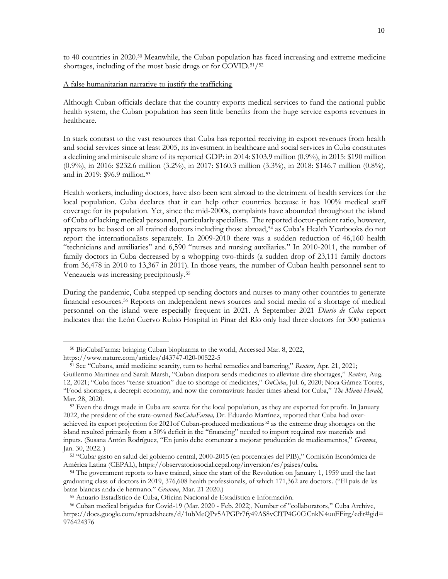to 40 countries in 2020. <sup>50</sup> Meanwhile, the Cuban population has faced increasing and extreme medicine shortages, including of the most basic drugs or for COVID.51/<sup>52</sup>

## A false humanitarian narrative to justify the trafficking

Although Cuban officials declare that the country exports medical services to fund the national public health system, the Cuban population has seen little benefits from the huge service exports revenues in healthcare.

In stark contrast to the vast resources that Cuba has reported receiving in export revenues from health and social services since at least 2005, its investment in healthcare and social services in Cuba constitutes a declining and miniscule share of its reported GDP: in 2014: \$103.9 million (0.9%), in 2015: \$190 million (0.9%), in 2016: \$232.6 million (3.2%), in 2017: \$160.3 million (3.3%), in 2018: \$146.7 million (0.8%), and in 2019: \$96.9 million.<sup>53</sup>

Health workers, including doctors, have also been sent abroad to the detriment of health services for the local population. Cuba declares that it can help other countries because it has 100% medical staff coverage for its population. Yet, since the mid-2000s, complaints have abounded throughout the island of Cuba of lacking medical personnel, particularly specialists. The reported doctor-patient ratio, however, appears to be based on all trained doctors including those abroad,<sup>54</sup> as Cuba's Health Yearbooks do not report the internationalists separately. In 2009-2010 there was a sudden reduction of 46,160 health "technicians and auxiliaries" and 6,590 "nurses and nursing auxiliaries." In 2010-2011, the number of family doctors in Cuba decreased by a whopping two-thirds (a sudden drop of 23,111 family doctors from 36,478 in 2010 to 13,367 in 2011). In those years, the number of Cuban health personnel sent to Venezuela was increasing precipitously.<sup>55</sup>

During the pandemic, Cuba stepped up sending doctors and nurses to many other countries to generate financial resources. <sup>56</sup> Reports on independent news sources and social media of a shortage of medical personnel on the island were especially frequent in 2021. A September 2021 *Diario de Cuba* report indicates that the León Cuervo Rubio Hospital in Pinar del Río only had three doctors for 300 patients

<sup>50</sup> BioCubaFarma: bringing Cuban biopharma to the world, Accessed Mar. 8, 2022, https://www.nature.com/articles/d43747-020-00522-5

<sup>51</sup> See "Cubans, amid medicine scarcity, turn to herbal remedies and bartering," *Reuters*, Apr. 21, 2021; Guillermo Martinez and Sarah Marsh, "Cuban diaspora sends medicines to alleviate dire shortages," *Reuters*, Aug. 12, 2021; "Cuba faces "tense situation" due to shortage of medicines," *OnCuba*, Jul. 6, 2020; Nora Gámez Torres, "Food shortages, a decrepit economy, and now the coronavirus: harder times ahead for Cuba," *The Miami Herald*, Mar. 28, 2020.

<sup>&</sup>lt;sup>52</sup> Even the drugs made in Cuba are scarce for the local population, as they are exported for profit. In January 2022, the president of the state-owned *BioCubaFarma,* Dr. Eduardo Martínez, reported that Cuba had overachieved its export projection for 2021of Cuban-produced medications<sup>52</sup> as the extreme drug shortages on the island resulted primarily from a 50% deficit in the "financing" needed to import required raw materials and inputs. (Susana Antón Rodríguez, "En junio debe comenzar a mejorar producción de medicamentos," *Granma*, Jan. 30, 2022. )

<sup>53</sup> "Cuba*:* gasto en salud del gobierno central, 2000-2015 (en porcentajes del PIB)," Comisión Económica de América Latina (CEPAL), https://observatoriosocial.cepal.org/inversion/es/paises/cuba.

<sup>54</sup> The government reports to have trained, since the start of the Revolution on January 1, 1959 until the last graduating class of doctors in 2019, 376,608 health professionals, of which 171,362 are doctors. ("El país de las batas blancas anda de hermano." *Granma*, Mar. 21 2020.)

<sup>55</sup> Anuario Estadístico de Cuba, Oficina Nacional de Estadística e Información.

<sup>56</sup> Cuban medical brigades for Covid-19 (Mar. 2020 - Feb. 2022), Number of "collaborators," Cuba Archive, https://docs.google.com/spreadsheets/d/1ubMeQPv5APGPr7fy49AS8vClTP4G0CiCnkN4uuFFirg/edit#gid= 976424376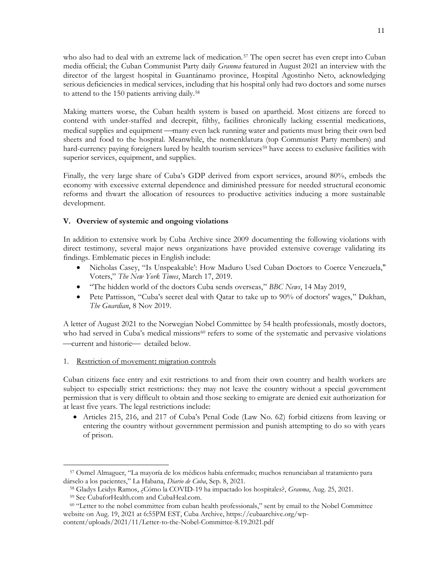who also had to deal with an extreme lack of medication.<sup>57</sup> The open secret has even crept into Cuban media official; the Cuban Communist Party daily *Granma* featured in August 2021 an interview with the director of the largest hospital in Guantánamo province, Hospital Agostinho Neto, acknowledging serious deficiencies in medical services, including that his hospital only had two doctors and some nurses to attend to the 150 patients arriving daily.<sup>58</sup>

Making matters worse, the Cuban health system is based on apartheid. Most citizens are forced to contend with under-staffed and decrepit, filthy, facilities chronically lacking essential medications, medical supplies and equipment —many even lack running water and patients must bring their own bed sheets and food to the hospital. Meanwhile, the nomenklatura (top Communist Party members) and hard-currency paying foreigners lured by health tourism services<sup>59</sup> have access to exclusive facilities with superior services, equipment, and supplies.

Finally, the very large share of Cuba's GDP derived from export services, around 80%, embeds the economy with excessive external dependence and diminished pressure for needed structural economic reforms and thwart the allocation of resources to productive activities inducing a more sustainable development.

# **V. Overview of systemic and ongoing violations**

In addition to extensive work by Cuba Archive since 2009 documenting the following violations with direct testimony, several major news organizations have provided extensive coverage validating its findings. Emblematic pieces in English include:

- Nicholas Casey, "Is Unspeakable': How Maduro Used Cuban Doctors to Coerce Venezuela," Voters," *The New York Times*, March 17, 2019.
- "The hidden world of the doctors Cuba sends overseas," *BBC News*, 14 May 2019,
- Pete Pattisson, "Cuba's secret deal with Qatar to take up to 90% of doctors' wages," Dukhan, *The Guardian*, 8 Nov 2019.

A letter of August 2021 to the Norwegian Nobel Committee by 54 health professionals, mostly doctors, who had served in Cuba's medical missions<sup>60</sup> refers to some of the systematic and pervasive violations -current and historic- detailed below.

## 1. Restriction of movement**:** migration controls

Cuban citizens face entry and exit restrictions to and from their own country and health workers are subject to especially strict restrictions: they may not leave the country without a special government permission that is very difficult to obtain and those seeking to emigrate are denied exit authorization for at least five years. The legal restrictions include:

• Articles 215, 216, and 217 of Cuba's Penal Code (Law No. 62) forbid citizens from leaving or entering the country without government permission and punish attempting to do so with years of prison.

<sup>57</sup> Osmel Almaguer, "La mayoría de los médicos había enfermado; muchos renunciaban al tratamiento para dárselo a los pacientes," La Habana, *Diario de Cuba*, Sep. 8, 2021.

<sup>58</sup> Gladys Leidys Ramos, ¿Cómo la COVID-19 ha impactado los hospitales?, *Granma*, Aug. 25, 2021.

<sup>59</sup> See CubaforHealth.com and CubaHeal.com.

<sup>60</sup> "Letter to the nobel committee from cuban health professionals," sent by email to the Nobel Committee website on Aug. 19, 2021 at 6:55PM EST, Cuba Archive, https://cubaarchive.org/wp-

content/uploads/2021/11/Letter-to-the-Nobel-Committee-8.19.2021.pdf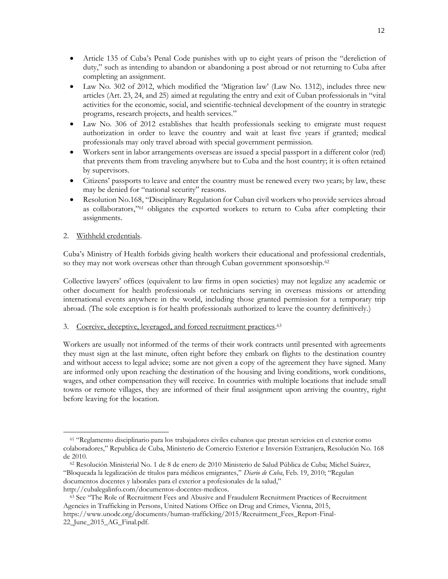- Article 135 of Cuba's Penal Code punishes with up to eight years of prison the "dereliction of duty," such as intending to abandon or abandoning a post abroad or not returning to Cuba after completing an assignment.
- Law No. 302 of 2012, which modified the 'Migration law' (Law No. 1312), includes three new articles (Art. 23, 24, and 25) aimed at regulating the entry and exit of Cuban professionals in "vital activities for the economic, social, and scientific-technical development of the country in strategic programs, research projects, and health services."
- Law No. 306 of 2012 establishes that health professionals seeking to emigrate must request authorization in order to leave the country and wait at least five years if granted; medical professionals may only travel abroad with special government permission.
- Workers sent in labor arrangements overseas are issued a special passport in a different color (red) that prevents them from traveling anywhere but to Cuba and the host country; it is often retained by supervisors.
- Citizens' passports to leave and enter the country must be renewed every two years; by law, these may be denied for "national security" reasons.
- Resolution No.168, "Disciplinary Regulation for Cuban civil workers who provide services abroad as collaborators," <sup>61</sup> obligates the exported workers to return to Cuba after completing their assignments.

# 2. Withheld credentials.

Cuba's Ministry of Health forbids giving health workers their educational and professional credentials, so they may not work overseas other than through Cuban government sponsorship.<sup>62</sup>

Collective lawyers' offices (equivalent to law firms in open societies) may not legalize any academic or other document for health professionals or technicians serving in overseas missions or attending international events anywhere in the world, including those granted permission for a temporary trip abroad. (The sole exception is for health professionals authorized to leave the country definitively.)

## 3. Coercive, deceptive, leveraged, and forced recruitment practices.<sup>63</sup>

Workers are usually not informed of the terms of their work contracts until presented with agreements they must sign at the last minute, often right before they embark on flights to the destination country and without access to legal advice; some are not given a copy of the agreement they have signed. Many are informed only upon reaching the destination of the housing and living conditions, work conditions, wages, and other compensation they will receive. In countries with multiple locations that include small towns or remote villages, they are informed of their final assignment upon arriving the country, right before leaving for the location.

<sup>61</sup> "Reglamento disciplinario para los trabajadores civiles cubanos que prestan servicios en el exterior como colaboradores," Republica de Cuba, Ministerio de Comercio Exterior e Inversión Extranjera, Resolución No. 168 de 2010.

<sup>62</sup> Resolución Ministerial No. 1 de 8 de enero de 2010 Ministerio de Salud Pública de Cuba; Michel Suárez, "Bloqueada la legalización de títulos para médicos emigrantes," *Diario de Cuba*, Feb. 19, 2010; "Regulan documentos docentes y laborales para el exterior a profesionales de la salud," http://cubalegalinfo.com/documentos-docentes-medicos.

<sup>63</sup> See "The Role of Recruitment Fees and Abusive and Fraudulent Recruitment Practices of Recruitment Agencies in Trafficking in Persons, United Nations Office on Drug and Crimes, Vienna, 2015, https://www.unodc.org/documents/human-trafficking/2015/Recruitment\_Fees\_Report-Final-22\_June\_2015\_AG\_Final.pdf.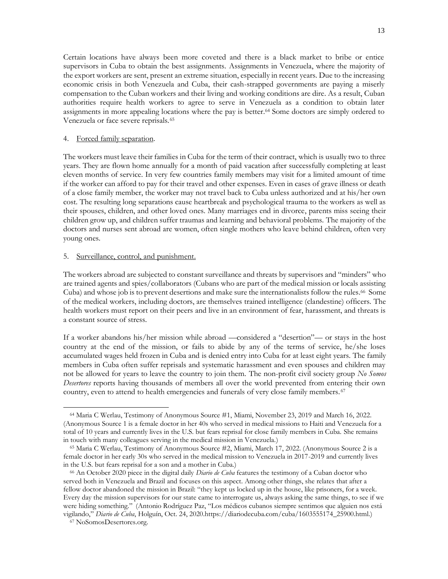Certain locations have always been more coveted and there is a black market to bribe or entice supervisors in Cuba to obtain the best assignments. Assignments in Venezuela, where the majority of the export workers are sent, present an extreme situation, especially in recent years. Due to the increasing economic crisis in both Venezuela and Cuba, their cash-strapped governments are paying a miserly compensation to the Cuban workers and their living and working conditions are dire. As a result, Cuban authorities require health workers to agree to serve in Venezuela as a condition to obtain later assignments in more appealing locations where the pay is better. <sup>64</sup> Some doctors are simply ordered to Venezuela or face severe reprisals.<sup>65</sup>

#### 4. Forced family separation.

The workers must leave their families in Cuba for the term of their contract, which is usually two to three years. They are flown home annually for a month of paid vacation after successfully completing at least eleven months of service. In very few countries family members may visit for a limited amount of time if the worker can afford to pay for their travel and other expenses. Even in cases of grave illness or death of a close family member, the worker may not travel back to Cuba unless authorized and at his/her own cost. The resulting long separations cause heartbreak and psychological trauma to the workers as well as their spouses, children, and other loved ones. Many marriages end in divorce, parents miss seeing their children grow up, and children suffer traumas and learning and behavioral problems. The majority of the doctors and nurses sent abroad are women, often single mothers who leave behind children, often very young ones.

#### 5. Surveillance, control, and punishment.

The workers abroad are subjected to constant surveillance and threats by supervisors and "minders" who are trained agents and spies/collaborators (Cubans who are part of the medical mission or locals assisting Cuba) and whose job is to prevent desertions and make sure the internationalists follow the rules. <sup>66</sup> Some of the medical workers, including doctors, are themselves trained intelligence (clandestine) officers. The health workers must report on their peers and live in an environment of fear, harassment, and threats is a constant source of stress.

If a worker abandons his/her mission while abroad —considered a "desertion"— or stays in the host country at the end of the mission, or fails to abide by any of the terms of service, he/she loses accumulated wages held frozen in Cuba and is denied entry into Cuba for at least eight years. The family members in Cuba often suffer reprisals and systematic harassment and even spouses and children may not be allowed for years to leave the country to join them. The non-profit civil society group *No Somos Desertores* reports having thousands of members all over the world prevented from entering their own country, even to attend to health emergencies and funerals of very close family members. <sup>67</sup>

<sup>64</sup> Maria C Werlau, Testimony of Anonymous Source #1, Miami, November 23, 2019 and March 16, 2022. (Anonymous Source 1 is a female doctor in her 40s who served in medical missions to Haiti and Venezuela for a total of 10 years and currently lives in the U.S. but fears reprisal for close family members in Cuba. She remains in touch with many colleagues serving in the medical mission in Venezuela.)

<sup>65</sup> Maria C Werlau, Testimony of Anonymous Source #2, Miami, March 17, 2022. (Anonymous Source 2 is a female doctor in her early 30s who served in the medical mission to Venezuela in 2017-2019 and currently lives in the U.S. but fears reprisal for a son and a mother in Cuba.)

<sup>66</sup> An October 2020 piece in the digital daily *Diario de Cuba* features the testimony of a Cuban doctor who served both in Venezuela and Brazil and focuses on this aspect. Among other things, she relates that after a fellow doctor abandoned the mission in Brazil: "they kept us locked up in the house, like prisoners, for a week. Every day the mission supervisors for our state came to interrogate us, always asking the same things, to see if we were hiding something." (Antonio Rodríguez Paz, "Los médicos cubanos siempre sentimos que alguien nos está vigilando," *Diario de Cuba*, Holguín, Oct. 24, 2020.https://diariodecuba.com/cuba/1603555174\_25900.html.)

<sup>67</sup> NoSomosDesertores.org.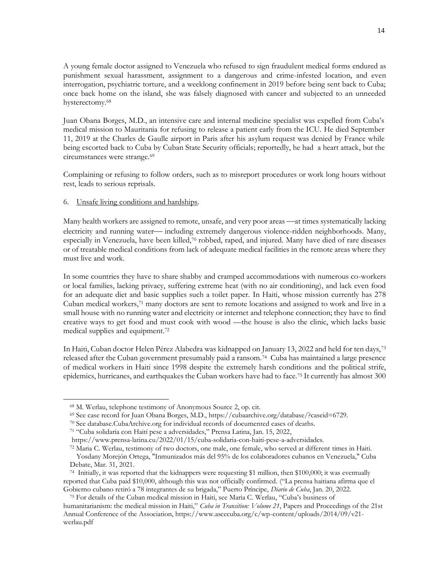A young female doctor assigned to Venezuela who refused to sign fraudulent medical forms endured as punishment sexual harassment, assignment to a dangerous and crime-infested location, and even interrogation, psychiatric torture, and a weeklong confinement in 2019 before being sent back to Cuba; once back home on the island, she was falsely diagnosed with cancer and subjected to an unneeded hysterectomy.<sup>68</sup>

Juan Obana Borges, M.D., an intensive care and internal medicine specialist was expelled from Cuba's medical mission to Mauritania for refusing to release a patient early from the ICU. He died September 11, 2019 at the Charles de Gaulle airport in Paris after his asylum request was denied by France while being escorted back to Cuba by Cuban State Security officials; reportedly, he had a heart attack, but the circumstances were strange.<sup>69</sup>

Complaining or refusing to follow orders, such as to misreport procedures or work long hours without rest, leads to serious reprisals.

#### 6. Unsafe living conditions and hardships.

Many health workers are assigned to remote, unsafe, and very poor areas —at times systematically lacking electricity and running water—including extremely dangerous violence-ridden neighborhoods. Many, especially in Venezuela, have been killed,<sup>70</sup> robbed, raped, and injured. Many have died of rare diseases or of treatable medical conditions from lack of adequate medical facilities in the remote areas where they must live and work.

In some countries they have to share shabby and cramped accommodations with numerous co-workers or local families, lacking privacy, suffering extreme heat (with no air conditioning), and lack even food for an adequate diet and basic supplies such a toilet paper. In Haiti, whose mission currently has 278 Cuban medical workers, <sup>71</sup> many doctors are sent to remote locations and assigned to work and live in a small house with no running water and electricity or internet and telephone connection; they have to find creative ways to get food and must cook with wood —the house is also the clinic, which lacks basic medical supplies and equipment. 72

In Haiti, Cuban doctor Helen Pérez Alabedra was kidnapped on January 13, 2022 and held for ten days,<sup>73</sup> released after the Cuban government presumably paid a ransom.<sup>74</sup> Cuba has maintained a large presence of medical workers in Haiti since 1998 despite the extremely harsh conditions and the political strife, epidemics, hurricanes, and earthquakes the Cuban workers have had to face.<sup>75</sup> It currently has almost 300

<sup>75</sup> For details of the Cuban medical mission in Haiti, see Maria C. Werlau, "Cuba's business of humanitarianism: the medical mission in Haiti," *Cuba in Transition: Volume 21*, Papers and Proceedings of the 21st

<sup>68</sup> M. Werlau, telephone testimony of Anonymous Source 2, op. cit.

<sup>69</sup> See case record for Juan Obana Borges, M.D., https://cubaarchive.org/database/?caseid=6729.

<sup>70</sup> See database.CubaArchive.org for individual records of documented cases of deaths.

<sup>71</sup> "Cuba solidaria con Haití pese a adversidades," Prensa Latina, Jan. 15, 2022,

https://www.prensa-latina.cu/2022/01/15/cuba-solidaria-con-haiti-pese-a-adversidades.

<sup>72</sup> Maria C. Werlau, testimony of two doctors, one male, one female, who served at different times in Haiti. Yosdany Morejón Ortega, "Inmunizados más del 95% de los colaboradores cubanos en Venezuela," Cuba Debate, Mar. 31, 2021.

<sup>74</sup> Initially, it was reported that the kidnappers were requesting \$1 million, then \$100,000; it was eventually reported that Cuba paid \$10,000, although this was not officially confirmed. ("La prensa haitiana afirma que el Gobierno cubano retiró a 78 integrantes de su brigada," Puerto Príncipe, *Diario de Cuba*, Jan. 20, 2022.

Annual Conference of the Association, https://www.ascecuba.org/c/wp-content/uploads/2014/09/v21 werlau.pdf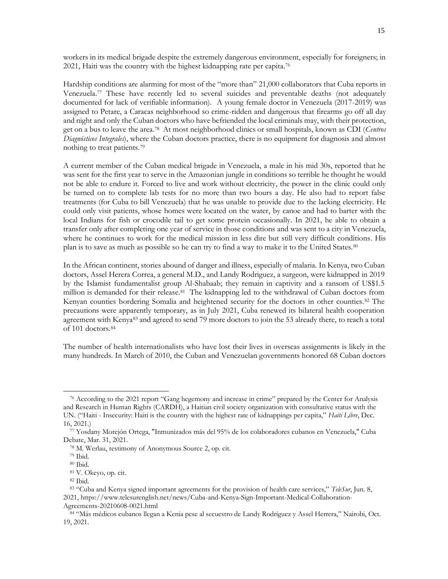workers in its medical brigade despite the extremely dangerous environment, especially for foreigners; in 2021, Haiti was the country with the highest kidnapping rate per capita.<sup>76</sup>

Hardship conditions are alarming for most of the "more than" 21,000 collaborators that Cuba reports in Venezuela. <sup>77</sup> These have recently led to several suicides and preventable deaths (not adequately documented for lack of verifiable information). A young female doctor in Venezuela (2017-2019) was assigned to Petare, a Caracas neighborhood so crime-ridden and dangerous that firearms go off all day and night and only the Cuban doctors who have befriended the local criminals may, with their protection, get on a bus to leave the area. <sup>78</sup> At most neighborhood clinics or small hospitals, known as CDI (*Centros Diagnósticos Integrales*), where the Cuban doctors practice, there is no equipment for diagnosis and almost nothing to treat patients.<sup>79</sup>

A current member of the Cuban medical brigade in Venezuela, a male in his mid 30s, reported that he was sent for the first year to serve in the Amazonian jungle in conditions so terrible he thought he would not be able to endure it. Forced to live and work without electricity, the power in the clinic could only be turned on to complete lab tests for no more than two hours a day. He also had to report false treatments (for Cuba to bill Venezuela) that he was unable to provide due to the lacking electricity. He could only visit patients, whose homes were located on the water, by canoe and had to barter with the local Indians for fish or crocodile tail to get some protein occasionally. In 2021, he able to obtain a transfer only after completing one year of service in those conditions and was sent to a city in Venezuela, where he continues to work for the medical mission in less dire but still very difficult conditions. His plan is to save as much as possible so he can try to find a way to make it to the United States.<sup>80</sup>

In the African continent, stories abound of danger and illness, especially of malaria. In Kenya, two Cuban doctors, Assel Herera Correa, a general M.D., and Landy Rodriguez, a surgeon, were kidnapped in 2019 by the Islamist fundamentalist group Al-Shabaab; they remain in captivity and a ransom of US\$1.5 million is demanded for their release.<sup>81</sup> The kidnapping led to the withdrawal of Cuban doctors from Kenyan counties bordering Somalia and heightened security for the doctors in other counties.<sup>82</sup> The precautions were apparently temporary, as in July 2021, Cuba renewed its bilateral health cooperation agreement with Kenya<sup>83</sup> and agreed to send 79 more doctors to join the 53 already there, to reach a total of 101 doctors.<sup>84</sup>

The number of health internationalists who have lost their lives in overseas assignments is likely in the many hundreds. In March of 2010, the Cuban and Venezuelan governments honored 68 Cuban doctors

<sup>76</sup> According to the 2021 report "Gang hegemony and increase in crime" prepared by the Center for Analysis and Research in Human Rights (CARDH), a Haitian civil society organization with consultative status with the UN. ("Haiti - Insecurity: Haiti is the country with the highest rate of kidnappings per capita," *Haiti Libre*, Dec. 16, 2021.)

<sup>77</sup> Yosdany Morejón Ortega, "Inmunizados más del 95% de los colaboradores cubanos en Venezuela," Cuba Debate, Mar. 31, 2021.

<sup>78</sup> M. Werlau, testimony of Anonymous Source 2, op. cit.

<sup>79</sup> Ibid.

<sup>80</sup> Ibid.

<sup>81</sup> V. Okeyo, op. cit.

<sup>82</sup> Ibid.

<sup>83</sup> "Cuba and Kenya signed important agreements for the provision of health care services," *TeleSur*, Jun. 8, 2021, https://www.telesurenglish.net/news/Cuba-and-Kenya-Sign-Important-Medical-Collaboration-Agreements-20210608-0021.html

<sup>84 &</sup>quot;Más médicos cubanos llegan a Kenia pese al secuestro de Landy Rodríguez y Assel Herrera," Nairobi, Oct. 19, 2021.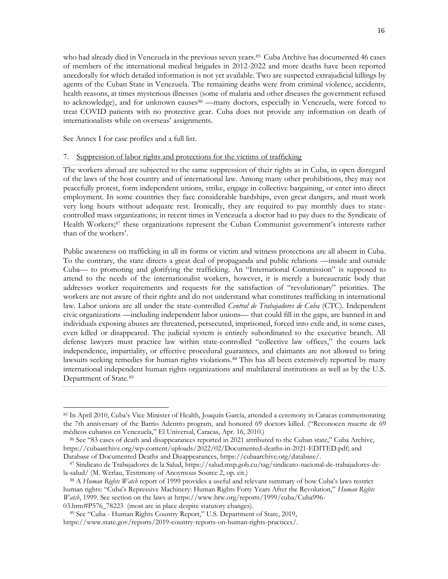who had already died in Venezuela in the previous seven years. <sup>85</sup> Cuba Archive has documented 46 cases of members of the international medical brigades in 2012-2022 and more deaths have been reported anecdotally for which detailed information is not yet available. Two are suspected extrajudicial killings by agents of the Cuban State in Venezuela. The remaining deaths were from criminal violence, accidents, health reasons, at times mysterious illnesses (some of malaria and other diseases the government refused to acknowledge), and for unknown causes <sup>86</sup> —many doctors, especially in Venezuela, were forced to treat COVID patients with no protective gear. Cuba does not provide any information on death of internationalists while on overseas' assignments.

See Annex I for case profiles and a full list.

## 7. Suppression of labor rights and protections for the victims of trafficking

The workers abroad are subjected to the same suppression of their rights as in Cuba, in open disregard of the laws of the host country and of international law. Among many other prohibitions, they may not peacefully protest, form independent unions, strike, engage in collective bargaining, or enter into direct employment. In some countries they face considerable hardships, even great dangers, and must work very long hours without adequate rest. Ironically, they are required to pay monthly dues to statecontrolled mass organizations; in recent times in Venezuela a doctor had to pay dues to the Syndicate of Health Workers;<sup>87</sup> these organizations represent the Cuban Communist government's interests rather than of the workers'.

Public awareness on trafficking in all its forms or victim and witness protections are all absent in Cuba. To the contrary, the state directs a great deal of propaganda and public relations —inside and outside Cuba— to promoting and glorifying the trafficking. An "International Commission" is supposed to attend to the needs of the internationalist workers, however, it is merely a bureaucratic body that addresses worker requirements and requests for the satisfaction of "revolutionary" priorities. The workers are not aware of their rights and do not understand what constitutes trafficking in international law. Labor unions are all under the state-controlled *Central de Trabajadores de Cuba* (CTC). Independent civic organizations —including independent labor unions— that could fill in the gaps, are banned in and individuals exposing abuses are threatened, persecuted, imprisoned, forced into exile and, in some cases, even killed or disappeared. The judicial system is entirely subordinated to the executive branch. All defense lawyers must practice law within state-controlled "collective law offices," the courts lack independence, impartiality, or effective procedural guarantees, and claimants are not allowed to bring lawsuits seeking remedies for human rights violations.<sup>88</sup> This has all been extensively reported by many international independent human rights organizations and multilateral institutions as well as by the U.S. Department of State.<sup>89</sup>

<sup>85</sup> In April 2010, Cuba's Vice Minister of Health, Joaquín García, attended a ceremony in Caracas commemorating the 7th anniversary of the Barrio Adentro program, and honored 69 doctors killed. ("Reconocen muerte de 69 médicos cubanos en Venezuela," El Universal, Caracas, Apr. 16, 2010.)

<sup>86</sup> See "83 cases of death and disappearances reported in 2021 attributed to the Cuban state," Cuba Archive, [https://cubaarchive.org/wp-content/uploads/2022/02/Documented-deaths-in-2021-EDITED.pdf;](https://cubaarchive.org/wp-content/uploads/2022/02/Documented-deaths-in-2021-EDITED.pdf) and Database of Documented Deaths and Disappearances, https://cubaarchive.org/database/.

<sup>87</sup> Sindicato de Trabajadores de la Salud, [https://salud.msp.gob.cu/tag/sindicato-nacional-de-trabajadores-de](https://salud.msp.gob.cu/tag/sindicato-nacional-de-trabajadores-de-la-salud/)[la-salud/](https://salud.msp.gob.cu/tag/sindicato-nacional-de-trabajadores-de-la-salud/) (M. Werlau, Testimony of Anoymous Source 2, op. cit.)

<sup>88</sup> A *Human Rights Watch* report of 1999 provides a useful and relevant summary of how Cuba's laws restrict human rights: "Cuba's Repressive Machinery: Human Rights Forty Years After the Revolution," *Human Rights Watch*, 1999. See section on the laws at [https://www.hrw.org/reports/1999/cuba/Cuba996-](https://www.hrw.org/reports/1999/cuba/Cuba996-03.htm#P576_78223) [03.htm#P576\\_78223](https://www.hrw.org/reports/1999/cuba/Cuba996-03.htm#P576_78223) (most are in place despite statutory changes).

<sup>89</sup> See "Cuba - Human Rights Country Report," U.S. Department of State, 2019, https://www.state.gov/reports/2019-country-reports-on-human-rights-practices/.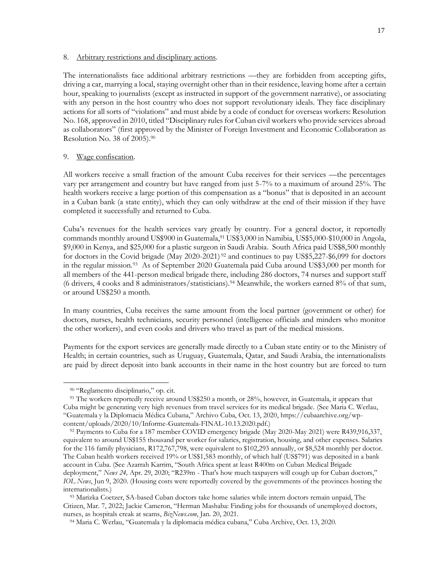8. Arbitrary restrictions and disciplinary actions.

The internationalists face additional arbitrary restrictions —they are forbidden from accepting gifts, driving a car, marrying a local, staying overnight other than in their residence, leaving home after a certain hour, speaking to journalists (except as instructed in support of the government narrative), or associating with any person in the host country who does not support revolutionary ideals. They face disciplinary actions for all sorts of "violations" and must abide by a code of conduct for overseas workers: Resolution No. 168, approved in 2010, titled "Disciplinary rules for Cuban civil workers who provide services abroad as collaborators" (first approved by the Minister of Foreign Investment and Economic Collaboration as Resolution No. 38 of 2005). 90

## 9. Wage confiscation.

All workers receive a small fraction of the amount Cuba receives for their services —the percentages vary per arrangement and country but have ranged from just 5-7% to a maximum of around 25%. The health workers receive a large portion of this compensation as a "bonus" that is deposited in an account in a Cuban bank (a state entity), which they can only withdraw at the end of their mission if they have completed it successfully and returned to Cuba.

Cuba's revenues for the health services vary greatly by country. For a general doctor, it reportedly commands monthly around US\$900 in Guatemala,<sup>91</sup> US\$3,000 in Namibia, US\$5,000-\$10,000 in Angola, \$9,000 in Kenya, and \$25,000 for a plastic surgeon in Saudi Arabia. South Africa paid US\$8,500 monthly for doctors in the Covid brigade (May 2020-2021) <sup>92</sup> and continues to pay US\$5,227-\$6,099 for doctors in the regular mission.<sup>93</sup> As of September 2020 Guatemala paid Cuba around US\$3,000 per month for all members of the 441-person medical brigade there, including 286 doctors, 74 nurses and support staff (6 drivers, 4 cooks and 8 administrators/statisticians).<sup>94</sup> Meanwhile, the workers earned 8% of that sum, or around US\$250 a month.

In many countries, Cuba receives the same amount from the local partner (government or other) for doctors, nurses, health technicians, security personnel (intelligence officials and minders who monitor the other workers), and even cooks and drivers who travel as part of the medical missions.

Payments for the export services are generally made directly to a Cuban state entity or to the Ministry of Health; in certain countries, such as Uruguay, Guatemala, Qatar, and Saudi Arabia, the internationalists are paid by direct deposit into bank accounts in their name in the host country but are forced to turn

<sup>90</sup> "Reglamento disciplinario," op. cit.

<sup>91</sup> The workers reportedly receive around US\$250 a month, or 28%, however, in Guatemala, it appears that Cuba might be generating very high revenues from travel services for its medical brigade. (See Maria C. Werlau, "Guatemala y la Diplomacia Médica Cubana," Archivo Cuba, Oct. 13, 2020, https://cubaarchive.org/wpcontent/uploads/2020/10/Informe-Guatemala-FINAL-10.13.2020.pdf.)

<sup>92</sup> Payments to Cuba for a 187 member COVID emergency brigade (May 2020-May 2021) were R439,916,337, equivalent to around US\$155 thousand per worker for salaries, registration, housing, and other expenses. Salaries for the 116 family physicians, R172,767,798, were equivalent to \$102,293 annually, or \$8,524 monthly per doctor. The Cuban health workers received 19% or US\$1,583 monthly, of which half (US\$791) was deposited in a bank account in Cuba. (See Azarrah Karrim, "South Africa spent at least R400m on Cuban Medical Brigade deployment," *News 24,* Apr. 29, 2020; "R239m - That's how much taxpayers will cough up for Cuban doctors," *IOL News*, Jun 9, 2020. (Housing costs were reportedly covered by the governments of the provinces hosting the internationalists.)

<sup>93</sup> Marizka Coetzer, SA-based Cuban doctors take home salaries while intern doctors remain unpaid, The Citizen, Mar. 7, 2022; Jackie Cameron, "Herman Mashaba: Finding jobs for thousands of unemployed doctors, nurses, as hospitals creak at seams, *BizNews.com*, Jan. 20, 2021.

<sup>94</sup> Maria C. Werlau, "Guatemala y la diplomacia médica cubana," Cuba Archive, Oct. 13, 2020.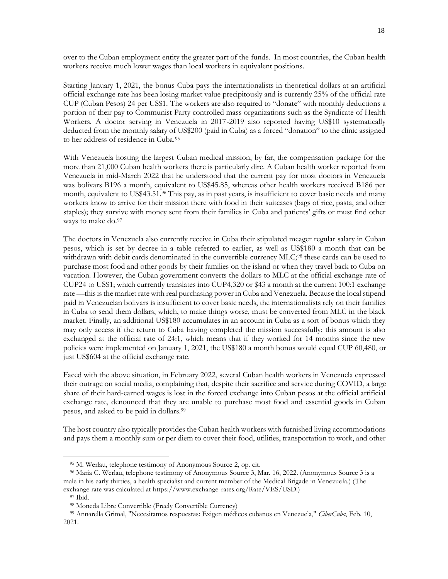over to the Cuban employment entity the greater part of the funds. In most countries, the Cuban health workers receive much lower wages than local workers in equivalent positions.

Starting January 1, 2021, the bonus Cuba pays the internationalists in theoretical dollars at an artificial official exchange rate has been losing market value precipitously and is currently 25% of the official rate CUP (Cuban Pesos) 24 per US\$1. The workers are also required to "donate" with monthly deductions a portion of their pay to Communist Party controlled mass organizations such as the Syndicate of Health Workers. A doctor serving in Venezuela in 2017-2019 also reported having US\$10 systematically deducted from the monthly salary of US\$200 (paid in Cuba) as a forced "donation" to the clinic assigned to her address of residence in Cuba.<sup>95</sup>

With Venezuela hosting the largest Cuban medical mission, by far, the compensation package for the more than 21,000 Cuban health workers there is particularly dire. A Cuban health worker reported from Venezuela in mid-March 2022 that he understood that the current pay for most doctors in Venezuela was bolivars B196 a month, equivalent to US\$45.85, whereas other health workers received B186 per month, equivalent to US\$43.51.<sup>96</sup> This pay, as in past years, is insufficient to cover basic needs and many workers know to arrive for their mission there with food in their suitcases (bags of rice, pasta, and other staples); they survive with money sent from their families in Cuba and patients' gifts or must find other ways to make do.<sup>97</sup>

The doctors in Venezuela also currently receive in Cuba their stipulated meager regular salary in Cuban pesos, which is set by decree in a table referred to earlier, as well as US\$180 a month that can be withdrawn with debit cards denominated in the convertible currency MLC;<sup>98</sup> these cards can be used to purchase most food and other goods by their families on the island or when they travel back to Cuba on vacation. However, the Cuban government converts the dollars to MLC at the official exchange rate of CUP24 to US\$1; which currently translates into CUP4,320 or \$43 a month at the current 100:1 exchange rate —this is the market rate with real purchasing power in Cuba and Venezuela. Because the local stipend paid in Venezuelan bolivars is insufficient to cover basic needs, the internationalists rely on their families in Cuba to send them dollars, which, to make things worse, must be converted from MLC in the black market. Finally, an additional US\$180 accumulates in an account in Cuba as a sort of bonus which they may only access if the return to Cuba having completed the mission successfully; this amount is also exchanged at the official rate of 24:1, which means that if they worked for 14 months since the new policies were implemented on January 1, 2021, the US\$180 a month bonus would equal CUP 60,480, or just US\$604 at the official exchange rate.

Faced with the above situation, in February 2022, several Cuban health workers in Venezuela expressed their outrage on social media, complaining that, despite their sacrifice and service during COVID, a large share of their hard-earned wages is lost in the forced exchange into Cuban pesos at the official artificial exchange rate, denounced that they are unable to purchase most food and essential goods in Cuban pesos, and asked to be paid in dollars.<sup>99</sup>

The host country also typically provides the Cuban health workers with furnished living accommodations and pays them a monthly sum or per diem to cover their food, utilities, transportation to work, and other

<sup>95</sup> M. Werlau, telephone testimony of Anonymous Source 2, op. cit.

<sup>96</sup> Maria C. Werlau, telephone testimony of Anonymous Source 3, Mar. 16, 2022. (Anonymous Source 3 is a male in his early thirties, a health specialist and current member of the Medical Brigade in Venezuela.) (The exchange rate was calculated at https://www.exchange-rates.org/Rate/VES/USD.)

<sup>97</sup> Ibid.

<sup>98</sup> Moneda Libre Convertible (Freely Convertible Currency)

<sup>99</sup> Annarella Grimal, "Necesitamos respuestas: Exigen médicos cubanos en Venezuela," *CiberCuba*, Feb. 10, 2021.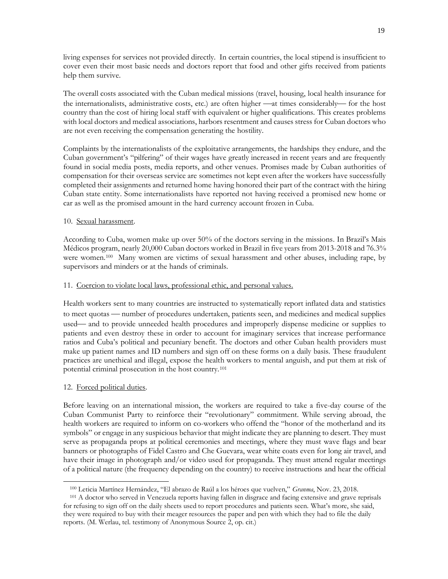living expenses for services not provided directly. In certain countries, the local stipend is insufficient to cover even their most basic needs and doctors report that food and other gifts received from patients help them survive.

The overall costs associated with the Cuban medical missions (travel, housing, local health insurance for the internationalists, administrative costs, etc.) are often higher —at times considerably— for the host country than the cost of hiring local staff with equivalent or higher qualifications. This creates problems with local doctors and medical associations, harbors resentment and causes stress for Cuban doctors who are not even receiving the compensation generating the hostility.

Complaints by the internationalists of the exploitative arrangements, the hardships they endure, and the Cuban government's "pilfering" of their wages have greatly increased in recent years and are frequently found in social media posts, media reports, and other venues. Promises made by Cuban authorities of compensation for their overseas service are sometimes not kept even after the workers have successfully completed their assignments and returned home having honored their part of the contract with the hiring Cuban state entity. Some internationalists have reported not having received a promised new home or car as well as the promised amount in the hard currency account frozen in Cuba.

# 10. Sexual harassment.

According to Cuba, women make up over 50% of the doctors serving in the missions. In Brazil's Mais Médicos program, nearly 20,000 Cuban doctors worked in Brazil in five years from 2013-2018 and 76.3% were women.<sup>100</sup> Many women are victims of sexual harassment and other abuses, including rape, by supervisors and minders or at the hands of criminals.

# 11. Coercion to violate local laws, professional ethic, and personal values.

Health workers sent to many countries are instructed to systematically report inflated data and statistics to meet quotas — number of procedures undertaken, patients seen, and medicines and medical supplies used— and to provide unneeded health procedures and improperly dispense medicine or supplies to patients and even destroy these in order to account for imaginary services that increase performance ratios and Cuba's political and pecuniary benefit. The doctors and other Cuban health providers must make up patient names and ID numbers and sign off on these forms on a daily basis. These fraudulent practices are unethical and illegal, expose the health workers to mental anguish, and put them at risk of potential criminal prosecution in the host country.<sup>101</sup>

## 12. Forced political duties.

Before leaving on an international mission, the workers are required to take a five-day course of the Cuban Communist Party to reinforce their "revolutionary" commitment. While serving abroad, the health workers are required to inform on co-workers who offend the "honor of the motherland and its symbols" or engage in any suspicious behavior that might indicate they are planning to desert. They must serve as propaganda props at political ceremonies and meetings, where they must wave flags and bear banners or photographs of Fidel Castro and Che Guevara, wear white coats even for long air travel, and have their image in photograph and/or video used for propaganda. They must attend regular meetings of a political nature (the frequency depending on the country) to receive instructions and hear the official

<sup>100</sup> Leticia Martínez Hernández, "El abrazo de Raúl a los héroes que vuelven," *Granma*, Nov. 23, 2018.

<sup>101</sup> A doctor who served in Venezuela reports having fallen in disgrace and facing extensive and grave reprisals for refusing to sign off on the daily sheets used to report procedures and patients seen. What's more, she said, they were required to buy with their meager resources the paper and pen with which they had to file the daily reports. (M. Werlau, tel. testimony of Anonymous Source 2, op. cit.)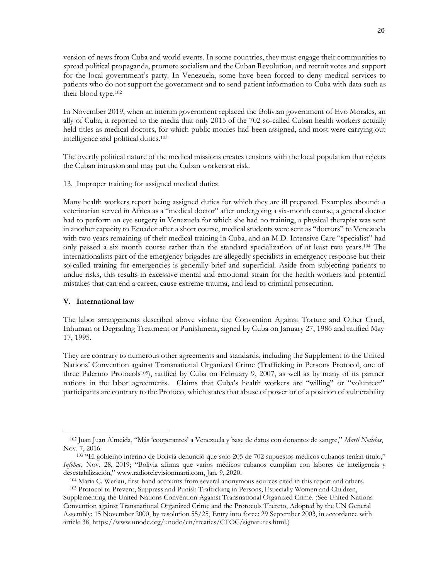version of news from Cuba and world events. In some countries, they must engage their communities to spread political propaganda, promote socialism and the Cuban Revolution, and recruit votes and support for the local government's party. In Venezuela, some have been forced to deny medical services to patients who do not support the government and to send patient information to Cuba with data such as their blood type. 102

In November 2019, when an interim government replaced the Bolivian government of Evo Morales, an ally of Cuba, it reported to the media that only 2015 of the 702 so-called Cuban health workers actually held titles as medical doctors, for which public monies had been assigned, and most were carrying out intelligence and political duties.<sup>103</sup>

The overtly political nature of the medical missions creates tensions with the local population that rejects the Cuban intrusion and may put the Cuban workers at risk.

#### 13. Improper training for assigned medical duties.

Many health workers report being assigned duties for which they are ill prepared. Examples abound: a veterinarian served in Africa as a "medical doctor" after undergoing a six-month course, a general doctor had to perform an eye surgery in Venezuela for which she had no training, a physical therapist was sent in another capacity to Ecuador after a short course, medical students were sent as "doctors" to Venezuela with two years remaining of their medical training in Cuba, and an M.D. Intensive Care "specialist" had only passed a six month course rather than the standard specialization of at least two years. <sup>104</sup> The internationalists part of the emergency brigades are allegedly specialists in emergency response but their so-called training for emergencies is generally brief and superficial. Aside from subjecting patients to undue risks, this results in excessive mental and emotional strain for the health workers and potential mistakes that can end a career, cause extreme trauma, and lead to criminal prosecution.

#### **V. International law**

The labor arrangements described above violate the Convention Against Torture and Other Cruel, Inhuman or Degrading Treatment or Punishment, signed by Cuba on January 27, 1986 and ratified May 17, 1995.

They are contrary to numerous other agreements and standards, including the Supplement to the United Nations' Convention against Transnational Organized Crime (Trafficking in Persons Protocol, one of three Palermo Protocols<sup>105</sup>), ratified by Cuba on February 9, 2007, as well as by many of its partner nations in the labor agreements. Claims that Cuba's health workers are "willing" or "volunteer" participants are contrary to the Protoco, which states that abuse of power or of a position of vulnerability

<sup>102</sup> Juan Juan Almeida, "Más 'cooperantes' a Venezuela y base de datos con donantes de sangre," *Martí Noticias*, Nov. 7, 2016.

<sup>103</sup> "El gobierno interino de Bolivia denunció que solo 205 de 702 supuestos médicos cubanos tenían título," *Infobae*, Nov. 28, 2019; "Bolivia afirma que varios médicos cubanos cumplían con labores de inteligencia y desestabilización," www.radiotelevisionmarti.com, Jan. 9, 2020.

<sup>104</sup> Maria C. Werlau, first-hand accounts from several anonymous sources cited in this report and others.

<sup>105</sup> Protocol to Prevent, Suppress and Punish Trafficking in Persons, Especially Women and Children, Supplementing the United Nations Convention Against Transnational Organized Crime. (See United Nations Convention against Transnational Organized Crime and the Protocols Thereto, Adopted by the UN General Assembly: 15 November 2000, by resolution 55/25, Entry into force: 29 September 2003, in accordance with article 38, https://www.unodc.org/unodc/en/treaties/CTOC/signatures.html.)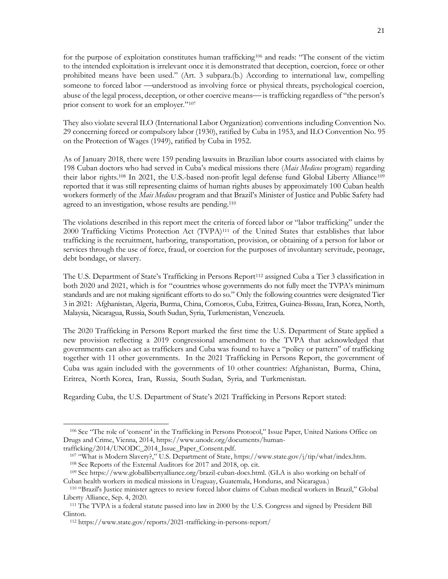for the purpose of exploitation constitutes human trafficking<sup>106</sup> and reads: "The consent of the victim to the intended exploitation is irrelevant once it is demonstrated that deception, coercion, force or other prohibited means have been used." (Art. 3 subpara.(b.) According to international law, compelling someone to forced labor —understood as involving force or physical threats, psychological coercion, abuse of the legal process, deception, or other coercive means—is trafficking regardless of "the person's prior consent to work for an employer."<sup>107</sup>

They also violate several ILO (International Labor Organization) conventions including Convention No. 29 concerning forced or compulsory labor (1930), ratified by Cuba in 1953, and ILO Convention No. 95 on the Protection of Wages (1949), ratified by Cuba in 1952.

As of January 2018, there were 159 pending lawsuits in Brazilian labor courts associated with claims by 198 Cuban doctors who had served in Cuba's medical missions there (*Mais Medicos* program) regarding their labor rights.<sup>108</sup> In 2021, the U.S.-based non-profit legal defense fund Global Liberty Alliance<sup>109</sup> reported that it was still representing claims of human rights abuses by approximately 100 Cuban health workers formerly of the *Mais Medicos* program and that Brazil's Minister of Justice and Public Safety had agreed to an investigation, whose results are pending.<sup>110</sup>

The violations described in this report meet the criteria of forced labor or "labor trafficking" under the 2000 Trafficking Victims Protection Act (TVPA)<sup>111</sup> of the United States that establishes that labor trafficking is the recruitment, harboring, transportation, provision, or obtaining of a person for labor or services through the use of force, fraud, or coercion for the purposes of involuntary servitude, peonage, debt bondage, or slavery.

The U.S. Department of State's Trafficking in Persons Report<sup>112</sup> assigned Cuba a Tier 3 classification in both 2020 and 2021, which is for "countries whose governments do not fully meet the TVPA's minimum standards and are not making significant efforts to do so." Only the following countries were designated Tier 3 in 2021: Afghanistan, Algeria, Burma, China, Comoros, Cuba, Eritrea, Guinea-Bissau, Iran, Korea, North, Malaysia, Nicaragua, Russia, South Sudan, Syria, Turkmenistan, Venezuela.

The 2020 Trafficking in Persons Report marked the first time the U.S. Department of State applied a new provision reflecting a 2019 congressional amendment to the TVPA that acknowledged that governments can also act as traffickers and Cuba was found to have a "policy or pattern" of trafficking together with 11 other governments. In the 2021 Trafficking in Persons Report, the government of Cuba was again included with the governments of 10 other countries: Afghanistan, Burma, China, Eritrea, North Korea, Iran, Russia, South Sudan, Syria, and Turkmenistan.

Regarding Cuba, the U.S. Department of State's 2021 Trafficking in Persons Report stated:

<sup>106</sup> See "The role of 'consent' in the Trafficking in Persons Protocol," Issue Paper, United Nations Office on Drugs and Crime, Vienna, 2014, https://www.unodc.org/documents/human-

trafficking/2014/UNODC\_2014\_Issue\_Paper\_Consent.pdf.

<sup>107</sup> "What is Modern Slavery?," U.S. Department of State, https://www.state.gov/j/tip/what/index.htm. <sup>108</sup> See Reports of the External Auditors for 2017 and 2018, op. cit.

<sup>109</sup> See https://www.globallibertyalliance.org/brazil-cuban-docs.html. (GLA is also working on behalf of Cuban health workers in medical missions in Uruguay, Guatemala, Honduras, and Nicaragua.)

<sup>110</sup> "Brazil's Justice minister agrees to review forced labor claims of Cuban medical workers in Brazil," Global Liberty Alliance, Sep. 4, 2020.

<sup>111</sup> The TVPA is a federal statute passed into law in 2000 by the U.S. Congress and signed by President Bill Clinton.

<sup>112</sup> https://www.state.gov/reports/2021-trafficking-in-persons-report/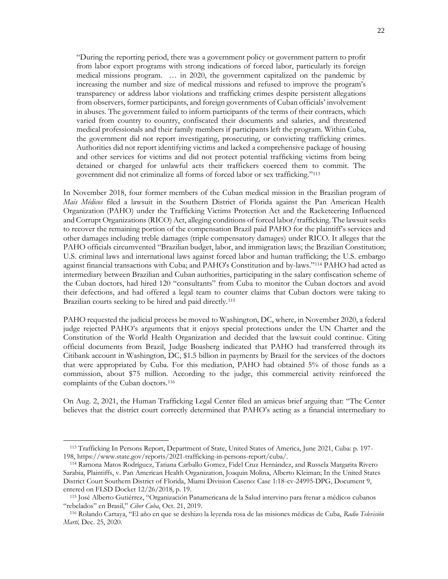"During the reporting period, there was a government policy or government pattern to profit from labor export programs with strong indications of forced labor, particularly its foreign medical missions program. … in 2020, the government capitalized on the pandemic by increasing the number and size of medical missions and refused to improve the program's transparency or address labor violations and trafficking crimes despite persistent allegations from observers, former participants, and foreign governments of Cuban officials' involvement in abuses. The government failed to inform participants of the terms of their contracts, which varied from country to country, confiscated their documents and salaries, and threatened medical professionals and their family members if participants left the program. Within Cuba, the government did not report investigating, prosecuting, or convicting trafficking crimes. Authorities did not report identifying victims and lacked a comprehensive package of housing and other services for victims and did not protect potential trafficking victims from being detained or charged for unlawful acts their traffickers coerced them to commit. The government did not criminalize all forms of forced labor or sex trafficking."<sup>113</sup>

In November 2018, four former members of the Cuban medical mission in the Brazilian program of *Mais Médicos* filed a lawsuit in the Southern District of Florida against the Pan American Health Organization (PAHO) under the Trafficking Victims Protection Act and the Racketeering Influenced and Corrupt Organizations (RICO) Act, alleging conditions of forced labor/trafficking. The lawsuit seeks to recover the remaining portion of the compensation Brazil paid PAHO for the plaintiff's services and other damages including treble damages (triple compensatory damages) under RICO. It alleges that the PAHO officials circumvented "Brazilian budget, labor, and immigration laws; the Brazilian Constitution; U.S. criminal laws and international laws against forced labor and human trafficking; the U.S. embargo against financial transactions with Cuba; and PAHO's Constitution and by-laws."<sup>114</sup> PAHO had acted as intermediary between Brazilian and Cuban authorities, participating in the salary confiscation scheme of the Cuban doctors, had hired 120 "consultants" from Cuba to monitor the Cuban doctors and avoid their defections, and had offered a legal team to counter claims that Cuban doctors were taking to Brazilian courts seeking to be hired and paid directly.<sup>115</sup>

PAHO requested the judicial process be moved to Washington, DC, where, in November 2020, a federal judge rejected PAHO's arguments that it enjoys special protections under the UN Charter and the Constitution of the World Health Organization and decided that the lawsuit could continue. Citing official documents from Brazil, Judge Boasberg indicated that PAHO had transferred through its Citibank account in Washington, DC, \$1.5 billion in payments by Brazil for the services of the doctors that were appropriated by Cuba. For this mediation, PAHO had obtained 5% of those funds as a commission, about \$75 million. According to the judge, this commercial activity reinforced the complaints of the Cuban doctors.<sup>116</sup>

On Aug. 2, 2021, the Human Trafficking Legal Center filed an amicus brief arguing that: "The Center believes that the district court correctly determined that PAHO's acting as a financial intermediary to

<sup>113</sup> Trafficking In Persons Report, Department of State, United States of America, June 2021, Cuba: p. 197- 198, https://www.state.gov/reports/2021-trafficking-in-persons-report/cuba/.

<sup>114</sup> Ramona Matos Rodríguez, Tatiana Carballo Gomez, Fidel Cruz Hernández, and Russela Margarita Rivero Sarabia, Plaintiffs, v. Pan American Health Organization, Joaquin Molina, Alberto Kleiman; In the United States District Court Southern District of Florida, Miami Division Caseno: Case 1:18-cv-24995-DPG, Document 9, entered on FLSD Docket 12/26/2018, p. 19.

<sup>115</sup> José Alberto Gutiérrez, "Organización Panamericana de la Salud intervino para frenar a médicos cubanos "rebelados" en Brasil," *Ciber Cuba*, Oct. 21, 2019.

<sup>116</sup> Rolando Cartaya, "El año en que se deshizo la leyenda rosa de las misiones médicas de Cuba, *Radio Televisión Martí,* Dec. 25, 2020.